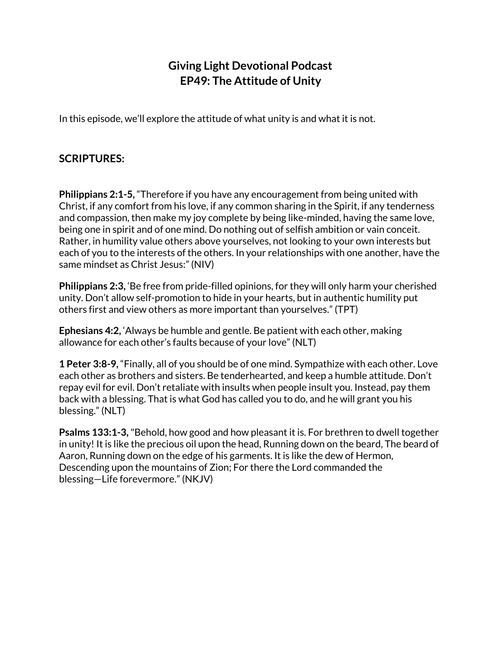## **Giving Light Devotional Podcast EP49: The Attitude of Unity**

In this episode, we'll explore the attitude of what unity is and what it is not.

## **SCRIPTURES:**

**Philippians 2:1-5,** "Therefore if you have any encouragement from being united with Christ, if any comfort from his love, if any common sharing in the Spirit, if any tenderness and compassion, then make my joy complete by being like-minded, having the same love, being one in spirit and of one mind. Do nothing out of selfish ambition or vain conceit. Rather, in humility value others above yourselves, not looking to your own interests but each of you to the interests of the others. In your relationships with one another, have the same mindset as Christ Jesus:" (NIV)

**Philippians 2:3,** 'Be free from pride-filled opinions, for they will only harm your cherished unity. Don't allow self-promotion to hide in your hearts, but in authentic humility put others first and view others as more important than yourselves." (TPT)

**Ephesians 4:2,** 'Always be humble and gentle. Be patient with each other, making allowance for each other's faults because of your love" (NLT)

**1 Peter 3:8-9,** "Finally, all of you should be of one mind. Sympathize with each other. Love each other as brothers and sisters. Be tenderhearted, and keep a humble attitude. Don't repay evil for evil. Don't retaliate with insults when people insult you. Instead, pay them back with a blessing. That is what God has called you to do, and he will grant you his blessing." (NLT)

**Psalms 133:1-3,**"Behold, how good and how pleasant it is. For brethren to dwell together in unity! It is like the precious oil upon the head, Running down on the beard, The beard of Aaron, Running down on the edge of his garments. It is like the dew of Hermon, Descending upon the mountains of Zion; For there the Lord commanded the blessing—Life forevermore." (NKJV)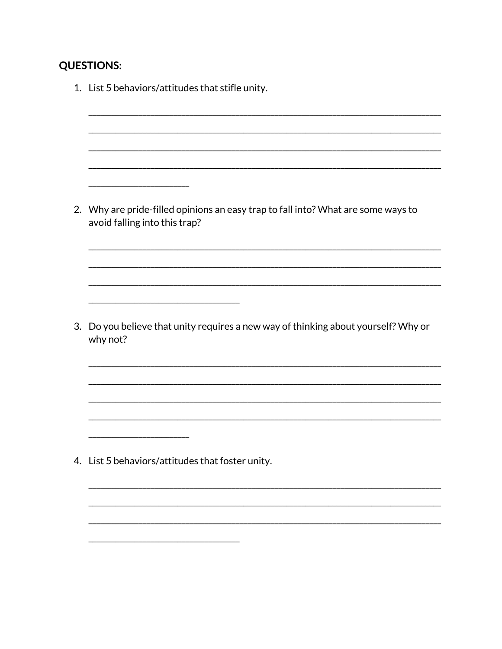## **QUESTIONS:**

1. List 5 behaviors/attitudes that stifle unity. \_\_\_\_\_\_\_\_\_\_\_\_\_\_\_\_\_ 2. Why are pride-filled opinions an easy trap to fall into? What are some ways to avoid falling into this trap? 3. Do you believe that unity requires a new way of thinking about yourself? Why or why not? 4. List 5 behaviors/attitudes that foster unity.